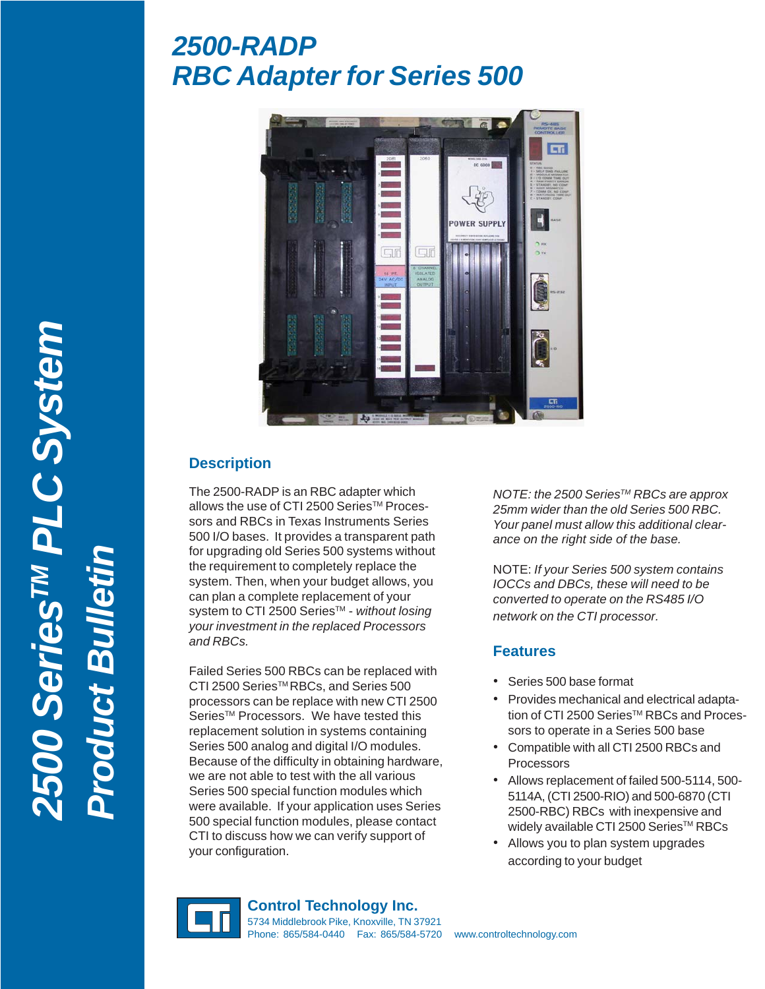# *2500-RADP RBC Adapter for Series 500*



## **Description**

The 2500-RADP is an RBC adapter which allows the use of CTI 2500 Series™ Processors and RBCs in Texas Instruments Series 500 I/O bases. It provides a transparent path for upgrading old Series 500 systems without the requirement to completely replace the system. Then, when your budget allows, you can plan a complete replacement of your system to CTI 2500 Series<sup>™</sup> - *without losing your investment in the replaced Processors and RBCs.*

Failed Series 500 RBCs can be replaced with CTI 2500 Series™RBCs, and Series 500 processors can be replace with new CTI 2500 Series<sup>™</sup> Processors. We have tested this replacement solution in systems containing Series 500 analog and digital I/O modules. Because of the difficulty in obtaining hardware, we are not able to test with the all various Series 500 special function modules which were available. If your application uses Series 500 special function modules, please contact CTI to discuss how we can verify support of your configuration.

*NOTE: the 2500 SeriesTM RBCs are approx 25mm wider than the old Series 500 RBC. Your panel must allow this additional clearance on the right side of the base.*

NOTE: *If your Series 500 system contains IOCCs and DBCs, these will need to be converted to operate on the RS485 I/O network on the CTI processor.*

### **Features**

- Series 500 base format
- Provides mechanical and electrical adaptation of CTI 2500 Series™ RBCs and Processors to operate in a Series 500 base
- Compatible with all CTI 2500 RBCs and Processors
- Allows replacement of failed 500-5114, 500- 5114A, (CTI 2500-RIO) and 500-6870 (CTI 2500-RBC) RBCs with inexpensive and widely available CTI 2500 Series™ RBCs
- Allows you to plan system upgrades according to your budget



**Control Technology Inc.** 5734 Middlebrook Pike, Knoxville, TN 37921 Phone: 865/584-0440 Fax: 865/584-5720 www.controltechnology.com